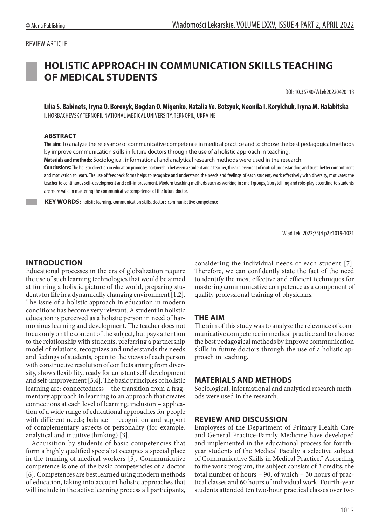## REVIEW ARTICLE



# **HOLISTIC APPROACH IN COMMUNICATION SKILLS TEACHING OF MEDICAL STUDENTS**

DOI: 10.36740/WLek20220420118

**Lilia S. Babinets, Iryna O. Borovyk, Bogdan O. Migenko, Natalia Ye. Botsyuk, Neonila I. Korylchuk, Iryna M. Halabitska** I. HORBACHEVSKY TERNOPIL NATIONAL MEDICAL UNIVERSITY, TERNOPIL, UKRAINE

#### **ABSTRACT**

**The aim:** To analyze the relevance of communicative competence in medical practice and to choose the best pedagogical methods by improve communication skills in future doctors through the use of a holistic approach in teaching.

**Materials and methods:** Sociological, informational and analytical research methods were used in the research.

**Conclusions:** The holistic direction in education promotes partnership between a student and a teacher, the achievement of mutual understanding and trust, better commitment and motivation to learn. The use of feedback forms helps to recognize and understand the needs and feelings of each student, work effectively with diversity, motivates the teacher to continuous self-development and self-improvement. Modern teaching methods such as working in small groups, Storytellling and role-play according to students are more valid in mastering the communicative competence of the future doctor.

**KEY WORDS:** holistic learning, communication skills, doctor's communicative competence

Wiad Lek. 2022;75(4 p2):1019-1021

## **INTRODUCTION**

Educational processes in the era of globalization require the use of such learning technologies that would be aimed at forming a holistic picture of the world, preparing students for life in a dynamically changing environment [1,2]. The issue of a holistic approach in education in modern conditions has become very relevant. A student in holistic education is perceived as a holistic person in need of harmonious learning and development. The teacher does not focus only on the content of the subject, but pays attention to the relationship with students, preferring a partnership model of relations, recognizes and understands the needs and feelings of students, open to the views of each person with constructive resolution of conflicts arising from diversity, shows flexibility, ready for constant self-development and self-improvement [3,4]. The basic principles of holistic learning are: connectedness – the transition from a fragmentary approach in learning to an approach that creates connections at each level of learning; inclusion – application of a wide range of educational approaches for people with different needs; balance – recognition and support of complementary aspects of personality (for example, analytical and intuitive thinking) [3].

Acquisition by students of basic competencies that form a highly qualified specialist occupies a special place in the training of medical workers [5]. Communicative competence is one of the basic competencies of a doctor [6]. Competences are best learned using modern methods of education, taking into account holistic approaches that will include in the active learning process all participants, considering the individual needs of each student [7]. Therefore, we can confidently state the fact of the need to identify the most effective and efficient techniques for mastering communicative competence as a component of quality professional training of physicians.

### **THE AIM**

The aim of this study was to analyze the relevance of communicative competence in medical practice and to choose the best pedagogical methods by improve communication skills in future doctors through the use of a holistic approach in teaching.

#### **MATERIALS AND METHODS**

Sociological, informational and analytical research methods were used in the research.

#### **REVIEW AND DISCUSSION**

Employees of the Department of Primary Health Care and General Practice-Family Medicine have developed and implemented in the educational process for fourthyear students of the Medical Faculty a selective subject of Communicative Skills in Medical Practice." According to the work program, the subject consists of 3 credits, the total number of hours – 90, of which – 30 hours of practical classes and 60 hours of individual work. Fourth-year students attended ten two-hour practical classes over two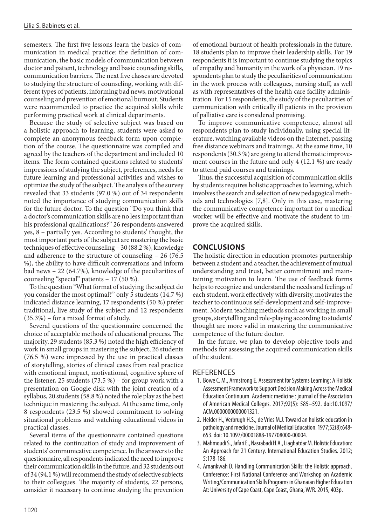semesters. The first five lessons learn the basics of communication in medical practice: the definition of communication, the basic models of communication between doctor and patient, technology and basic counseling skills, communication barriers. The next five classes are devoted to studying the structure of counseling, working with different types of patients, informing bad news, motivational counseling and prevention of emotional burnout. Students were recommended to practice the acquired skills while performing practical work at clinical departments.

Because the study of selective subject was based on a holistic approach to learning, students were asked to complete an anonymous feedback form upon completion of the course. The questionnaire was compiled and agreed by the teachers of the department and included 10 items. The form contained questions related to students' impressions of studying the subject, preferences, needs for future learning and professional activities and wishes to optimize the study of the subject. The analysis of the survey revealed that 33 students (97.0 %) out of 34 respondents noted the importance of studying communication skills for the future doctor. To the question "Do you think that a doctor's communication skills are no less important than his professional qualifications?" 26 respondents answered yes, 8 – partially yes. According to students' thought, the most important parts of the subject are mastering the basic techniques of effective counseling – 30 (88.2 %), knowledge and adherence to the structure of counseling – 26 (76.5 %), the ability to have difficult conversations and inform bad news – 22 (64.7%), knowledge of the peculiarities of counseling "special" patients – 17 (50 %).

To the question "What format of studying the subject do you consider the most optimal?" only 5 students (14.7 %) indicated distance learning, 17 respondents (50 %) prefer traditional, live study of the subject and 12 respondents (35.3%) – for a mixed format of study.

Several questions of the questionnaire concerned the choice of acceptable methods of educational process. The majority, 29 students (85.3 %) noted the high efficiency of work in small groups in mastering the subject, 26 students (76.5 %) were impressed by the use in practical classes of storytelling, stories of clinical cases from real practice with emotional impact, motivational, cognitive sphere of the listener, 25 students (73.5 %) – for group work with a presentation on Google disk with the joint creation of a syllabus, 20 students (58.8 %) noted the role play as the best technique in mastering the subject. At the same time, only 8 respondents (23.5 %) showed commitment to solving situational problems and watching educational videos in practical classes.

Several items of the questionnaire contained questions related to the continuation of study and improvement of students' communicative competence. In the answers to the questionnaire, all respondents indicated the need to improve their communication skills in the future, and 32 students out of 34 (94.1 %) will recommend the study of selective subjects to their colleagues. The majority of students, 22 persons, consider it necessary to continue studying the prevention

of emotional burnout of health professionals in the future. 18 students plan to improve their leadership skills. For 19 respondents it is important to continue studying the topics of empathy and humanity in the work of a physician. 19 respondents plan to study the peculiarities of communication in the work process with colleagues, nursing stuff, as well as with representatives of the health care facility administration. For 15 respondents, the study of the peculiarities of communication with critically ill patients in the provision of palliative care is considered promising.

To improve communicative competence, almost all respondents plan to study individually, using special literature, watching available videos on the Internet, passing free distance webinars and trainings. At the same time, 10 respondents (30.3 %) are going to attend thematic improvement courses in the future and only 4 (12.1 %) are ready to attend paid courses and trainings.

Thus, the successful acquisition of communication skills by students requires holistic approaches to learning, which involves the search and selection of new pedagogical methods and technologies [7,8]. Only in this case, mastering the communicative competence important for a medical worker will be effective and motivate the student to improve the acquired skills.

## **CONCLUSIONS**

The holistic direction in education promotes partnership between a student and a teacher, the achievement of mutual understanding and trust, better commitment and maintaining motivation to learn. The use of feedback forms helps to recognize and understand the needs and feelings of each student, work effectively with diversity, motivates the teacher to continuous self-development and self-improvement. Modern teaching methods such as working in small groups, storytellling and role-playing according to students' thought are more valid in mastering the communicative competence of the future doctor.

In the future, we plan to develop objective tools and methods for assessing the acquired communication skills of the student.

#### REFERENCES

- 1. Bowe C. M., Armstrong E. Assessment for Systems Learning: A Holistic Assessment Framework to Support Decision Making Across the Medical Education Continuum. Academic medicine : journal of the Association of American Medical Colleges. 2017;92(5): 585–592. doi:10.1097/ ACM.0000000000001321.
- 2. Helder H., Verbrugh H.S., de Vries M.J. Toward an holistic education in pathology and medicine. Journal of Medical Education. 1977;52(8):648- 653. doi: 10.1097/00001888-197708000-00004.
- 3. Mahmoudi S., Jafari E., Nasrabadi H.A., Liaghatdar M. Holistic Education: An Approach for 21 Century. International Education Studies. 2012; 5:178-186.
- 4. Amankwah D. Handling Communication Skills: the Holistic approach. Conference: First National Conference and Workshop on Academic Writing/Communication Skills Programs in Ghanaian Higher Education At: University of Cape Coast, Cape Coast, Ghana, W/R. 2015, 403р.